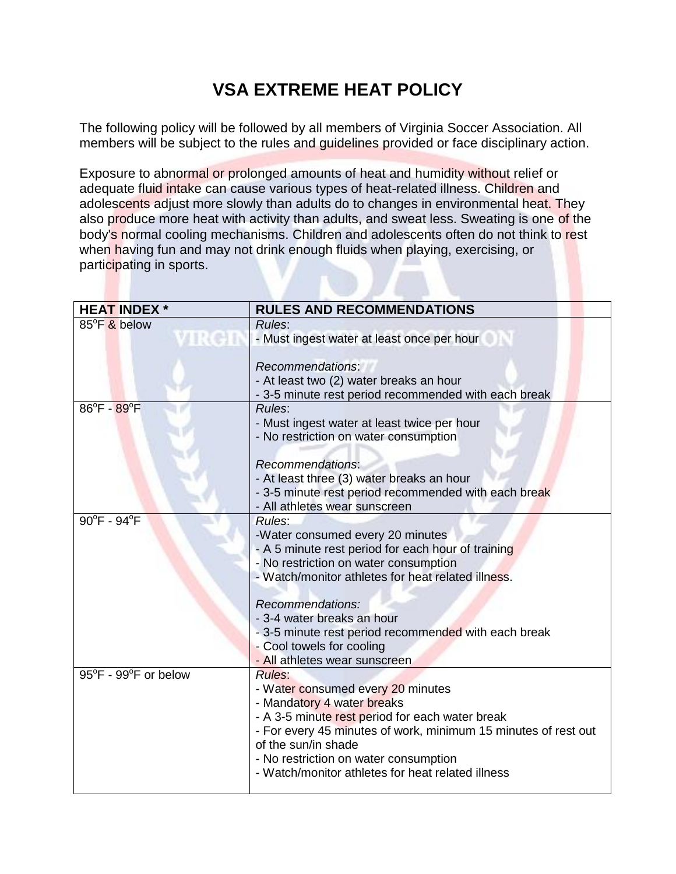## **VSA EXTREME HEAT POLICY**

The following policy will be followed by all members of Virginia Soccer Association. All members will be subject to the rules and guidelines provided or face disciplinary action.

Exposure to abnormal or prolonged amounts of heat and humidity without relief or adequate fluid intake can cause various types of heat-related illness. Children and adolescents adjust more slowly than adults do to changes in environmental heat. They also produce more heat with activity than adults, and sweat less. Sweating is one of the body's normal cooling mechanisms. Children and adolescents often do not think to rest when having fun and may not drink enough fluids when playing, exercising, or participating in sports.

| <b>HEAT INDEX *</b>             | <b>RULES AND RECOMMENDATIONS</b>                               |
|---------------------------------|----------------------------------------------------------------|
| 85°F & below                    | Rules:                                                         |
| лкев                            | - Must ingest water at least once per hour                     |
|                                 |                                                                |
|                                 | <b>Recommendations:</b>                                        |
|                                 | - At least two (2) water breaks an hour                        |
|                                 | - 3-5 minute rest period recommended with each break           |
| $86^{\circ}$ F - $89^{\circ}$ F | Rules:                                                         |
|                                 | - Must ingest water at least twice per hour                    |
|                                 | - No restriction on water consumption                          |
|                                 |                                                                |
|                                 | Recommendations:                                               |
|                                 | - At least three (3) water breaks an hour                      |
|                                 | - 3-5 minute rest period recommended with each break           |
|                                 | - All athletes wear sunscreen                                  |
| 90°F - 94°F                     | <b>Rules:</b>                                                  |
|                                 | -Water consumed every 20 minutes                               |
|                                 | - A 5 minute rest period for each hour of training             |
|                                 | - No restriction on water consumption                          |
|                                 | - Watch/monitor athletes for heat related illness.             |
|                                 | Recommendations:                                               |
|                                 | - 3-4 water breaks an hour                                     |
|                                 | - 3-5 minute rest period recommended with each break           |
|                                 | - Cool towels for cooling                                      |
|                                 | - All athletes wear sunscreen                                  |
| 95°F - 99°F or below            | <b>Rules:</b>                                                  |
|                                 | - Water consumed every 20 minutes                              |
|                                 | - Mandatory 4 water breaks                                     |
|                                 | - A 3-5 minute rest period for each water break                |
|                                 | - For every 45 minutes of work, minimum 15 minutes of rest out |
|                                 | of the sun/in shade                                            |
|                                 | - No restriction on water consumption                          |
|                                 | - Watch/monitor athletes for heat related illness              |
|                                 |                                                                |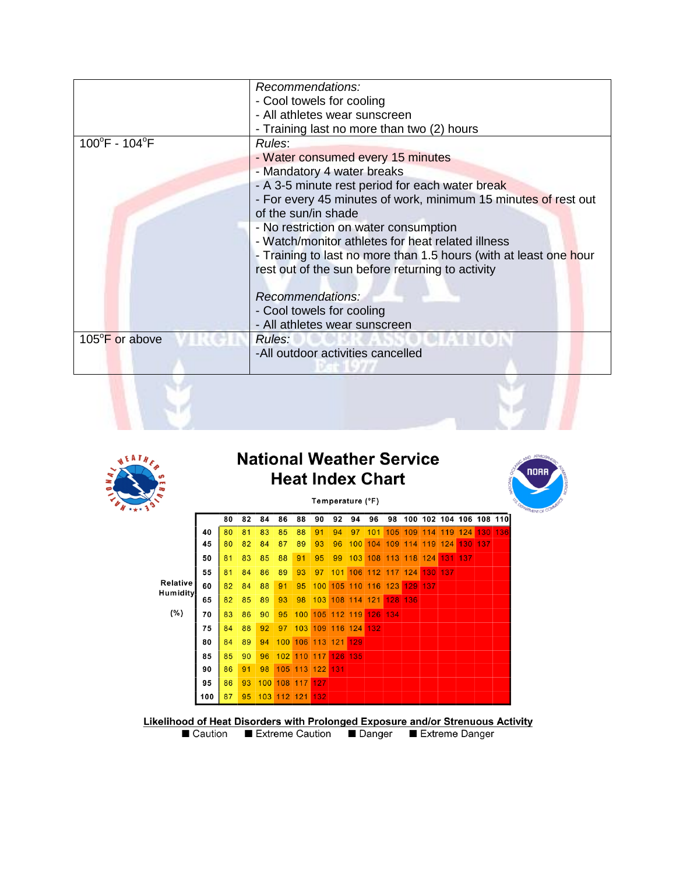|                                    | Recommendations:                                                  |  |  |  |  |  |  |  |
|------------------------------------|-------------------------------------------------------------------|--|--|--|--|--|--|--|
|                                    | - Cool towels for cooling                                         |  |  |  |  |  |  |  |
|                                    | - All athletes wear sunscreen                                     |  |  |  |  |  |  |  |
|                                    | - Training last no more than two (2) hours                        |  |  |  |  |  |  |  |
| $100^{\circ}$ F - 104 $^{\circ}$ F | Rules:                                                            |  |  |  |  |  |  |  |
|                                    | - Water consumed every 15 minutes                                 |  |  |  |  |  |  |  |
|                                    | - Mandatory 4 water breaks                                        |  |  |  |  |  |  |  |
|                                    | - A 3-5 minute rest period for each water break                   |  |  |  |  |  |  |  |
|                                    | - For every 45 minutes of work, minimum 15 minutes of rest out    |  |  |  |  |  |  |  |
|                                    | of the sun/in shade                                               |  |  |  |  |  |  |  |
|                                    | - No restriction on water consumption                             |  |  |  |  |  |  |  |
|                                    | - Watch/monitor athletes for heat related illness                 |  |  |  |  |  |  |  |
|                                    | - Training to last no more than 1.5 hours (with at least one hour |  |  |  |  |  |  |  |
|                                    | rest out of the sun before returning to activity                  |  |  |  |  |  |  |  |
|                                    |                                                                   |  |  |  |  |  |  |  |
|                                    | Recommendations:                                                  |  |  |  |  |  |  |  |
|                                    | - Cool towels for cooling                                         |  |  |  |  |  |  |  |
|                                    | - All athletes wear sunscreen                                     |  |  |  |  |  |  |  |
| 105°F or above                     | Rules:                                                            |  |  |  |  |  |  |  |
|                                    | -All outdoor activities cancelled                                 |  |  |  |  |  |  |  |
|                                    |                                                                   |  |  |  |  |  |  |  |



## **National Weather Service Heat Index Chart**



| ₹                                  | ı<br>Temperature (°F) |    |    |     |         |     |     |         |     |     |     |         |     |         |                         |         |
|------------------------------------|-----------------------|----|----|-----|---------|-----|-----|---------|-----|-----|-----|---------|-----|---------|-------------------------|---------|
|                                    |                       | 80 | 82 | 84  | 86      | 88  | 90  | 92      | 94  | 96  | 98  |         |     |         | 100 102 104 106 108 110 |         |
|                                    | 40                    | 80 | 81 | 83  | 85      | 88  | 91  | 94      | 97  | 101 | 105 | 109     | 114 | 119     | 124                     | 130 136 |
|                                    | 45                    | 80 | 82 | 84  | 87      | 89  | 93  | 96      | 100 | 104 | 109 | 114     | 119 | 124     | 130 137                 |         |
|                                    | 50                    | 81 | 83 | 85  | 88      | 91  | 95  | 99      | 103 | 108 | 113 | 118     | 124 | 131     | 137                     |         |
|                                    | 55                    | 81 | 84 | 86  | 89      | 93  | 97  | 101     | 106 | 112 |     | 117 124 |     | 130 137 |                         |         |
| <b>Relative</b><br><b>Humidity</b> | 60                    | 82 | 84 | 88  | 91      | 95  | 100 | 105     | 110 | 116 | 123 | 129     | 137 |         |                         |         |
| (%)                                | 65                    | 82 | 85 | 89  | 93      | 98  | 103 | 108     | 114 | 121 | 128 | 136     |     |         |                         |         |
|                                    | 70                    | 83 | 86 | 90  | 95      | 100 | 105 | 112 119 |     | 126 | 134 |         |     |         |                         |         |
|                                    | 75                    | 84 | 88 | 92  | 97      | 103 | 109 | 116     | 124 | 132 |     |         |     |         |                         |         |
|                                    | 80                    | 84 | 89 | 94  | 100     | 106 | 113 | 121     | 129 |     |     |         |     |         |                         |         |
|                                    | 85                    | 85 | 90 | 96  | 102     | 110 | 117 | 126     | 135 |     |     |         |     |         |                         |         |
|                                    | 90                    | 86 | 91 | 98  | 105     | 113 | 122 | 131     |     |     |     |         |     |         |                         |         |
|                                    | 95                    | 86 | 93 | 100 | 108     | 117 | 127 |         |     |     |     |         |     |         |                         |         |
|                                    | 100                   | 87 | 95 | 103 | 112 121 |     | 132 |         |     |     |     |         |     |         |                         |         |

Likelihood of Heat Disorders with Prolonged Exposure and/or Strenuous Activity

■ Caution ■ Extreme Caution ■ Danger ■ Extreme Danger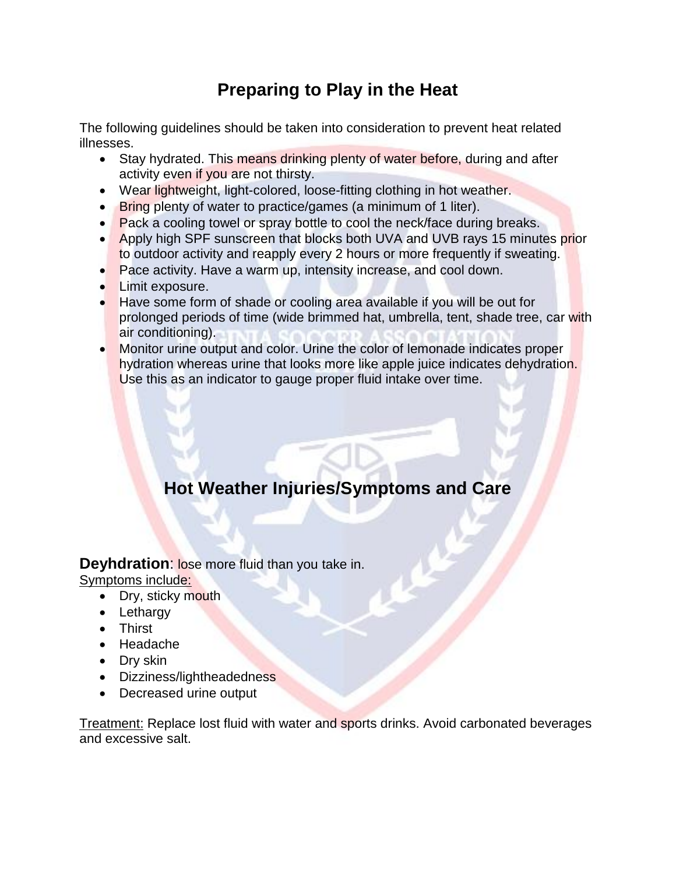## **Preparing to Play in the Heat**

The following guidelines should be taken into consideration to prevent heat related illnesses.

- Stay hydrated. This means drinking plenty of water before, during and after activity even if you are not thirsty.
- Wear lightweight, light-colored, loose-fitting clothing in hot weather.
- **Bring plenty of water to practice/games (a minimum of 1 liter).**
- Pack a cooling towel or spray bottle to cool the neck/face during breaks.
- Apply high SPF sunscreen that blocks both UVA and UVB rays 15 minutes prior to outdoor activity and reapply every 2 hours or more frequently if sweating.
- Pace activity. Have a warm up, intensity increase, and cool down.
- Limit exposure.
- Have some form of shade or cooling area available if you will be out for prolonged periods of time (wide brimmed hat, umbrella, tent, shade tree, car with air conditioning).
- Monitor urine output and color. Urine the color of lemonade indicates proper hydration whereas urine that looks more like apple juice indicates dehydration. Use this as an indicator to gauge proper fluid intake over time.

## **Hot Weather Injuries/Symptoms and Care**

**Deyhdration:** lose more fluid than you take in.

Symptoms include:

- Dry, sticky mouth
- Lethargy
- Thirst
- Headache
- Dry skin
- Dizziness/lightheadedness
- Decreased urine output

Treatment: Replace lost fluid with water and sports drinks. Avoid carbonated beverages and excessive salt.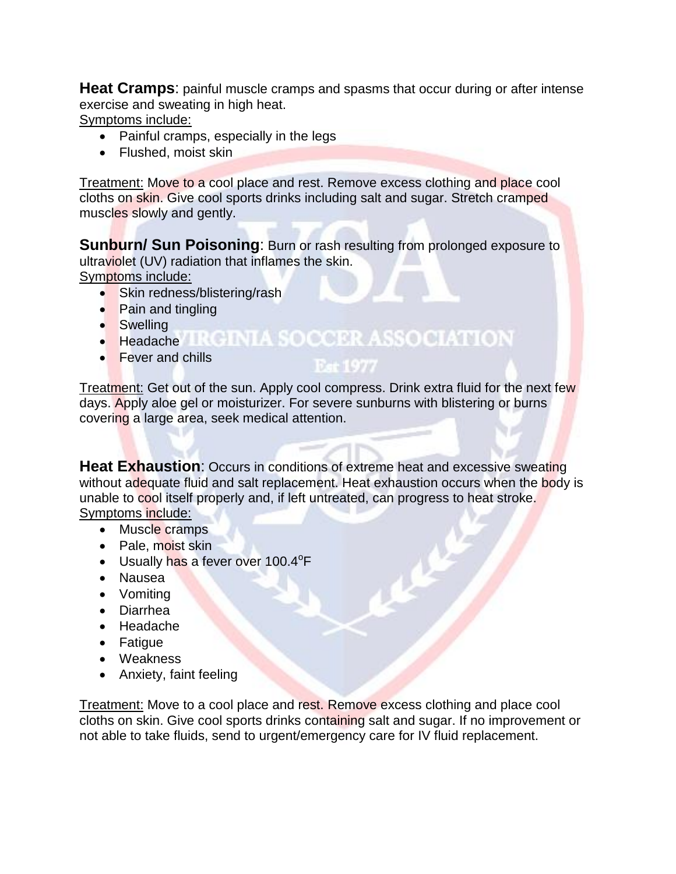**Heat Cramps:** painful muscle cramps and spasms that occur during or after intense exercise and sweating in high heat.

Symptoms include:

- Painful cramps, especially in the legs
- Flushed, moist skin

Treatment: Move to a cool place and rest. Remove excess clothing and place cool cloths on skin. Give cool sports drinks including salt and sugar. Stretch cramped muscles slowly and gently.

**Sunburn/ Sun Poisoning:** Burn or rash resulting from prolonged exposure to ultraviolet (UV) radiation that inflames the skin. Symptoms include:

- Skin redness/blistering/rash
- Pain and tingling
- Swelling
- Headache **TRGINIA SOCCER ASSOCIATION**
- Fever and chills

 $D = U D R$ 

Treatment: Get out of the sun. Apply cool compress. Drink extra fluid for the next few days. Apply aloe gel or moisturizer. For severe sunburns with blistering or burns covering a large area, seek medical attention.

**Heat Exhaustion:** Occurs in conditions of extreme heat and excessive sweating without adequate fluid and salt replacement. Heat exhaustion occurs when the body is unable to cool itself properly and, if left untreated, can progress to heat stroke. Symptoms include:

- Muscle cramps
- Pale, moist skin
- Usually has a fever over 100.4<sup>o</sup>F
- Nausea
- Vomiting
- Diarrhea
- Headache
- Fatigue
- Weakness
- Anxiety, faint feeling

Treatment: Move to a cool place and rest. Remove excess clothing and place cool cloths on skin. Give cool sports drinks containing salt and sugar. If no improvement or not able to take fluids, send to urgent/emergency care for IV fluid replacement.